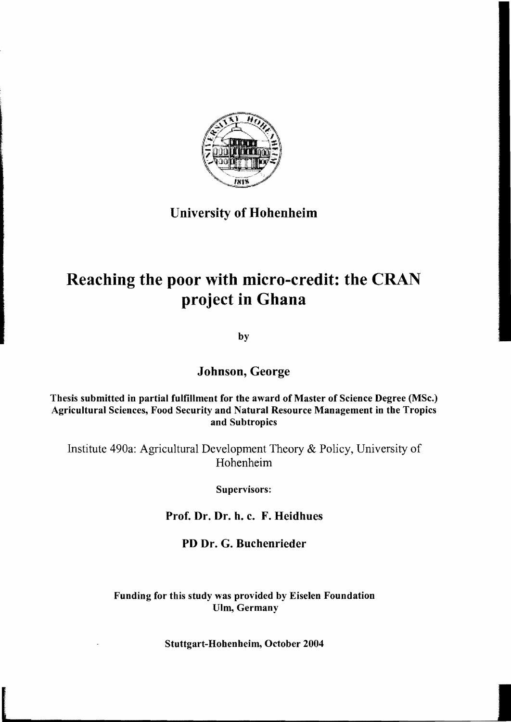

# University of Hohenheim

# Reaching the poor with micro-credit: the CRAN project in Ghana

by

# Johnson, George

### Thesis submitted in partial fulfillment for the award of Master of Science Degree (MSc.) Agricultural Sciences, Food Security and Natural Resource Management in the Tropics and Subtropics

Institute 490a: Agricultural Development Theory & Policy, University of Hohenheim

Supervisors:

Prof. Dr. Dr. h. c. F. Heidhues

# PD Dr. G. Buchenrieder

## Funding for this study was provided by Eiselen Foundation Ulm, Germany

#### Stuttgart-Hohenheim, October 2004